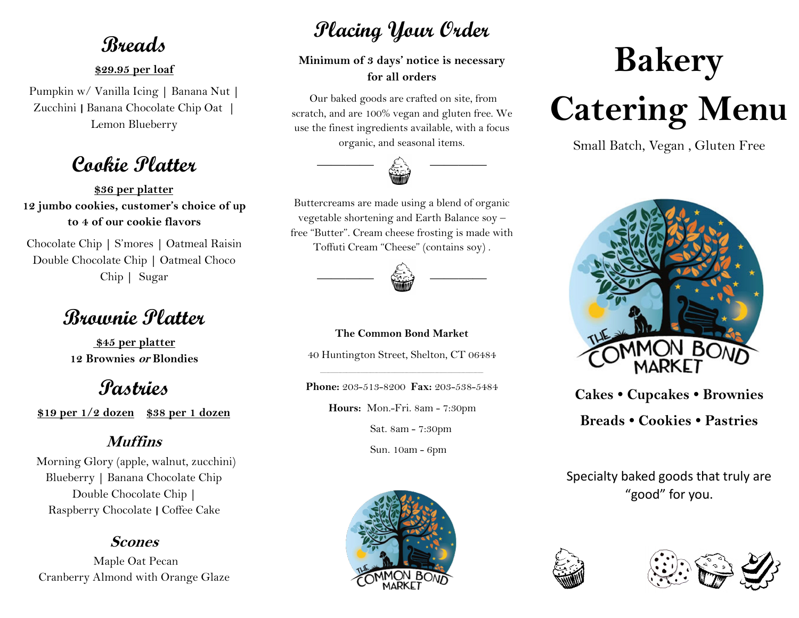## **Breads**

#### **\$29.95 per loaf**

Pumpkin w/ Vanilla Icing **|** Banana Nut **|**  Zucchini **|** Banana Chocolate Chip Oat **|**  Lemon Blueberry

## **Cookie Platter**

**\$36 per platter 12 jumbo cookies, customer's choice of up to 4 of our cookie flavors** 

Chocolate Chip **|** S'mores **|** Oatmeal Raisin Double Chocolate Chip **|** Oatmeal Choco Chip **|** Sugar

# **Brownie Platter**

**\$45 per platter 12 Brownies or Blondies** 

# **Pastries**

**\$19 per 1/2 dozen \$38 per 1 dozen**

## **Muffins**

Morning Glory (apple, walnut, zucchini) Blueberry **|** Banana Chocolate Chip Double Chocolate Chip **|**  Raspberry Chocolate **|** Coffee Cake

### **Scones**

Maple Oat Pecan Cranberry Almond with Orange Glaze

# **Placing Your Order**

**Minimum of 3 days' notice is necessary for all orders**

Our baked goods are crafted on site, from scratch, and are 100% vegan and gluten free. We use the finest ingredients available, with a focus organic, and seasonal items.



Buttercreams are made using a blend of organic vegetable shortening and Earth Balance soy – free "Butter". Cream cheese frosting is made with Toffuti Cream "Cheese" (contains soy) .



**The Common Bond Market**

40 Huntington Street, Shelton, CT 06484

\_\_\_\_\_\_\_\_\_\_\_\_\_\_\_\_\_\_\_\_\_\_\_\_\_\_\_\_\_\_\_\_\_\_\_\_\_\_\_\_\_\_\_\_\_\_\_\_\_\_\_\_\_\_\_\_\_\_\_\_\_\_\_\_\_\_\_\_\_\_\_\_\_\_\_\_\_\_\_\_\_ **Phone:** 203-513-8200 **Fax:** 203-538-5484

**Hours:** Mon.-Fri. 8am - 7:30pm

Sat. 8am - 7:30pm

Sun. 10am - 6pm



# **Bakery Catering Menu**

Small Batch, Vegan , Gluten Free



**Cakes • Cupcakes • Brownies Breads • Cookies • Pastries**

Specialty baked goods that truly are "good" for you.